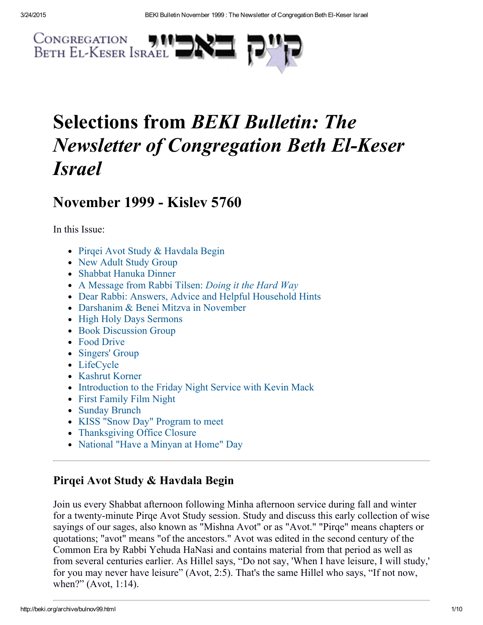

# Selections from BEKI Bulletin: The Newsletter of Congregation Beth El-Keser Israel

## November 1999 - Kisley 5760

In this Issue:

- Pirqei Avot Study & Havdala Begin
- New Adult Study Group
- Shabbat Hanuka Dinner
- A Message from Rabbi Tilsen: *Doing it the Hard Way*
- Dear Rabbi: Answers, Advice and Helpful Household Hints
- Darshanim & Benei Mitzva in November
- High Holy Days Sermons
- Book Discussion Group
- Food Drive
- Singers' Group
- LifeCycle
- Kashrut Korner
- Introduction to the Friday Night Service with Kevin Mack
- First Family Film Night
- Sunday Brunch
- KISS "Snow Day" Program to meet
- Thanksgiving Office Closure
- National "Have a Minyan at Home" Day

## Pirqei Avot Study & Havdala Begin

Join us every Shabbat afternoon following Minha afternoon service during fall and winter for a twenty-minute Pirqe Avot Study session. Study and discuss this early collection of wise sayings of our sages, also known as "Mishna Avot" or as "Avot." "Pirqe" means chapters or quotations; "avot" means "of the ancestors." Avot was edited in the second century of the Common Era by Rabbi Yehuda HaNasi and contains material from that period as well as from several centuries earlier. As Hillel says, "Do not say, 'When I have leisure, I will study,' for you may never have leisure" (Avot, 2:5). That's the same Hillel who says, "If not now, when?" (Avot, 1:14).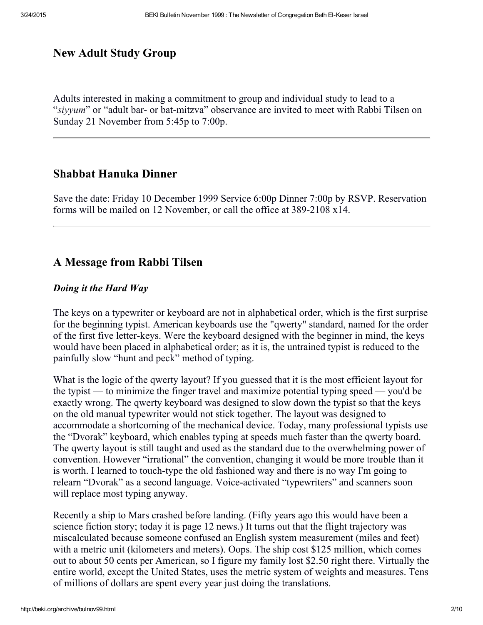#### New Adult Study Group

Adults interested in making a commitment to group and individual study to lead to a "siyyum" or "adult bar- or bat-mitzva" observance are invited to meet with Rabbi Tilsen on Sunday 21 November from 5:45p to 7:00p.

#### Shabbat Hanuka Dinner

Save the date: Friday 10 December 1999 Service 6:00p Dinner 7:00p by RSVP. Reservation forms will be mailed on 12 November, or call the office at  $389-2108 \times 14$ .

#### A Message from Rabbi Tilsen

#### Doing it the Hard Way

The keys on a typewriter or keyboard are not in alphabetical order, which is the first surprise for the beginning typist. American keyboards use the "qwerty" standard, named for the order of the first five letter-keys. Were the keyboard designed with the beginner in mind, the keys would have been placed in alphabetical order; as it is, the untrained typist is reduced to the painfully slow "hunt and peck" method of typing.

What is the logic of the qwerty layout? If you guessed that it is the most efficient layout for the typist — to minimize the finger travel and maximize potential typing speed — you'd be exactly wrong. The qwerty keyboard was designed to slow down the typist so that the keys on the old manual typewriter would not stick together. The layout was designed to accommodate a shortcoming of the mechanical device. Today, many professional typists use the "Dvorak" keyboard, which enables typing at speeds much faster than the qwerty board. The qwerty layout is still taught and used as the standard due to the overwhelming power of convention. However "irrational" the convention, changing it would be more trouble than it is worth. I learned to touch-type the old fashioned way and there is no way I'm going to relearn "Dvorak" as a second language. Voice-activated "typewriters" and scanners soon will replace most typing anyway.

Recently a ship to Mars crashed before landing. (Fifty years ago this would have been a science fiction story; today it is page 12 news.) It turns out that the flight trajectory was miscalculated because someone confused an English system measurement (miles and feet) with a metric unit (kilometers and meters). Oops. The ship cost \$125 million, which comes out to about 50 cents per American, so I figure my family lost \$2.50 right there. Virtually the entire world, except the United States, uses the metric system of weights and measures. Tens of millions of dollars are spent every year just doing the translations.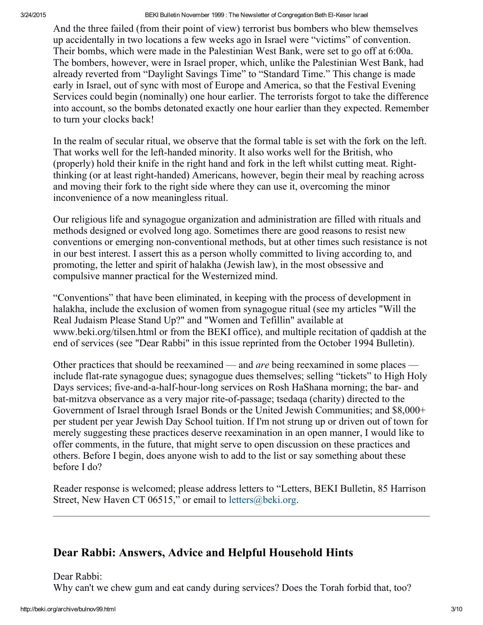3/24/2015 BEKI Bulletin November 1999 : The Newsletter of Congregation Beth ElKeser Israel

And the three failed (from their point of view) terrorist bus bombers who blew themselves up accidentally in two locations a few weeks ago in Israel were "victims" of convention. Their bombs, which were made in the Palestinian West Bank, were set to go off at 6:00a. The bombers, however, were in Israel proper, which, unlike the Palestinian West Bank, had already reverted from "Daylight Savings Time" to "Standard Time." This change is made early in Israel, out of sync with most of Europe and America, so that the Festival Evening Services could begin (nominally) one hour earlier. The terrorists forgot to take the difference into account, so the bombs detonated exactly one hour earlier than they expected. Remember to turn your clocks back!

In the realm of secular ritual, we observe that the formal table is set with the fork on the left. That works well for the left-handed minority. It also works well for the British, who (properly) hold their knife in the right hand and fork in the left whilst cutting meat. Rightthinking (or at least right-handed) Americans, however, begin their meal by reaching across and moving their fork to the right side where they can use it, overcoming the minor inconvenience of a now meaningless ritual.

Our religious life and synagogue organization and administration are filled with rituals and methods designed or evolved long ago. Sometimes there are good reasons to resist new conventions or emerging non-conventional methods, but at other times such resistance is not in our best interest. I assert this as a person wholly committed to living according to, and promoting, the letter and spirit of halakha (Jewish law), in the most obsessive and compulsive manner practical for the Westernized mind.

"Conventions" that have been eliminated, in keeping with the process of development in halakha, include the exclusion of women from synagogue ritual (see my articles "Will the Real Judaism Please Stand Up?" and "Women and Tefillin" available at www.beki.org/tilsen.html or from the BEKI office), and multiple recitation of qaddish at the end of services (see "Dear Rabbi" in this issue reprinted from the October 1994 Bulletin).

Other practices that should be reexamined — and *are* being reexamined in some places include flat-rate synagogue dues; synagogue dues themselves; selling "tickets" to High Holy Days services; five-and-a-half-hour-long services on Rosh HaShana morning; the bar- and bat-mitzva observance as a very major rite-of-passage; tsedaqa (charity) directed to the Government of Israel through Israel Bonds or the United Jewish Communities; and \$8,000+ per student per year Jewish Day School tuition. If I'm not strung up or driven out of town for merely suggesting these practices deserve reexamination in an open manner, I would like to offer comments, in the future, that might serve to open discussion on these practices and others. Before I begin, does anyone wish to add to the list or say something about these before I do?

Reader response is welcomed; please address letters to "Letters, BEKI Bulletin, 85 Harrison Street, New Haven CT 06515," or email to [letters@beki.org.](mailto:letters@beki.org)

## Dear Rabbi: Answers, Advice and Helpful Household Hints

Dear Rabbi:

Why can't we chew gum and eat candy during services? Does the Torah forbid that, too?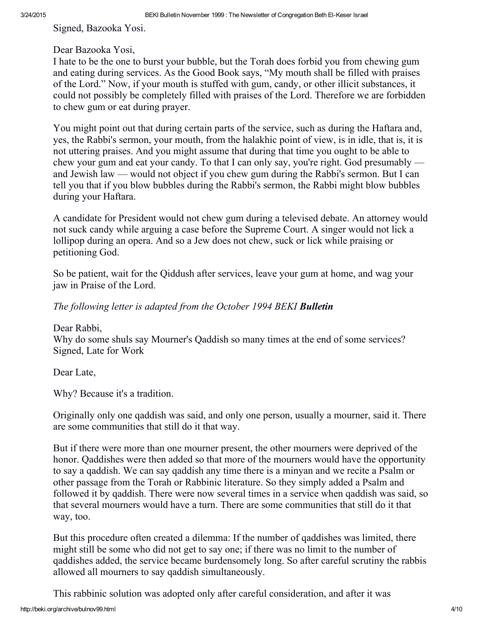Signed, Bazooka Yosi.

#### Dear Bazooka Yosi,

I hate to be the one to burst your bubble, but the Torah does forbid you from chewing gum and eating during services. As the Good Book says, "My mouth shall be filled with praises of the Lord." Now, if your mouth is stuffed with gum, candy, or other illicit substances, it could not possibly be completely filled with praises of the Lord. Therefore we are forbidden to chew gum or eat during prayer.

You might point out that during certain parts of the service, such as during the Haftara and, yes, the Rabbi's sermon, your mouth, from the halakhic point of view, is in idle, that is, it is not uttering praises. And you might assume that during that time you ought to be able to chew your gum and eat your candy. To that I can only say, you're right. God presumably and Jewish law — would not object if you chew gum during the Rabbi's sermon. But I can tell you that if you blow bubbles during the Rabbi's sermon, the Rabbi might blow bubbles during your Haftara.

A candidate for President would not chew gum during a televised debate. An attorney would not suck candy while arguing a case before the Supreme Court. A singer would not lick a lollipop during an opera. And so a Jew does not chew, suck or lick while praising or petitioning God.

So be patient, wait for the Qiddush after services, leave your gum at home, and wag your jaw in Praise of the Lord.

#### The following letter is adapted from the October 1994 BEKI **Bulletin**

Dear Rabbi, Why do some shuls say Mourner's Qaddish so many times at the end of some services? Signed, Late for Work

Dear Late,

Why? Because it's a tradition.

Originally only one qaddish was said, and only one person, usually a mourner, said it. There are some communities that still do it that way.

But if there were more than one mourner present, the other mourners were deprived of the honor. Qaddishes were then added so that more of the mourners would have the opportunity to say a qaddish. We can say qaddish any time there is a minyan and we recite a Psalm or other passage from the Torah or Rabbinic literature. So they simply added a Psalm and followed it by qaddish. There were now several times in a service when qaddish was said, so that several mourners would have a turn. There are some communities that still do it that way, too.

But this procedure often created a dilemma: If the number of qaddishes was limited, there might still be some who did not get to say one; if there was no limit to the number of qaddishes added, the service became burdensomely long. So after careful scrutiny the rabbis allowed all mourners to say qaddish simultaneously.

This rabbinic solution was adopted only after careful consideration, and after it was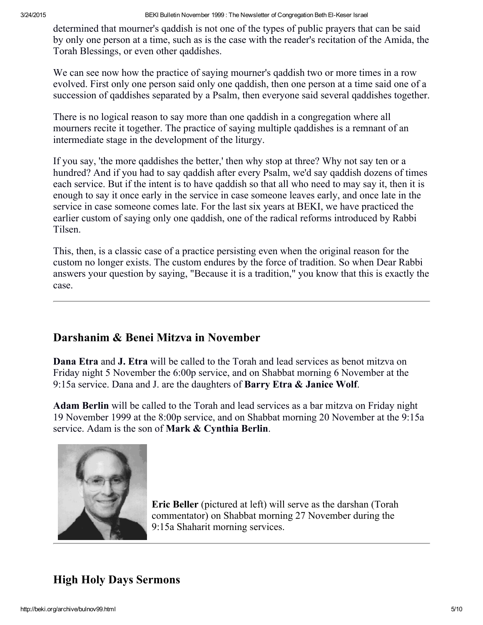determined that mourner's qaddish is not one of the types of public prayers that can be said by only one person at a time, such as is the case with the reader's recitation of the Amida, the Torah Blessings, or even other qaddishes.

We can see now how the practice of saying mourner's qaddish two or more times in a row evolved. First only one person said only one qaddish, then one person at a time said one of a succession of qaddishes separated by a Psalm, then everyone said several qaddishes together.

There is no logical reason to say more than one qaddish in a congregation where all mourners recite it together. The practice of saying multiple qaddishes is a remnant of an intermediate stage in the development of the liturgy.

If you say, 'the more qaddishes the better,' then why stop at three? Why not say ten or a hundred? And if you had to say qaddish after every Psalm, we'd say qaddish dozens of times each service. But if the intent is to have qaddish so that all who need to may say it, then it is enough to say it once early in the service in case someone leaves early, and once late in the service in case someone comes late. For the last six years at BEKI, we have practiced the earlier custom of saying only one qaddish, one of the radical reforms introduced by Rabbi Tilsen.

This, then, is a classic case of a practice persisting even when the original reason for the custom no longer exists. The custom endures by the force of tradition. So when Dear Rabbi answers your question by saying, "Because it is a tradition," you know that this is exactly the case.

#### Darshanim & Benei Mitzva in November

Dana Etra and J. Etra will be called to the Torah and lead services as benot mitzva on Friday night 5 November the 6:00p service, and on Shabbat morning 6 November at the 9:15a service. Dana and J. are the daughters of **Barry Etra & Janice Wolf.** 

Adam Berlin will be called to the Torah and lead services as a bar mitzva on Friday night 19 November 1999 at the 8:00p service, and on Shabbat morning 20 November at the 9:15a service. Adam is the son of Mark & Cynthia Berlin.



Eric Beller (pictured at left) will serve as the darshan (Torah commentator) on Shabbat morning 27 November during the 9:15a Shaharit morning services.

## High Holy Days Sermons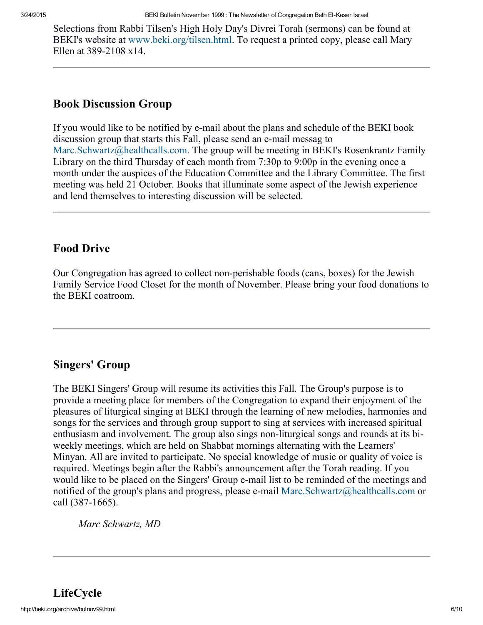Selections from Rabbi Tilsen's High Holy Day's Divrei Torah (sermons) can be found at BEKI's website at [www.beki.org/tilsen.html.](http://www.beki.org/tilsen.html) To request a printed copy, please call Mary Ellen at  $389-2108 \times 14$ .

#### Book Discussion Group

If you would like to be notified by e-mail about the plans and schedule of the BEKI book discussion group that starts this Fall, please send an e-mail messag to [Marc.Schwartz@healthcalls.com](mailto:Marc.Schwartz@healthcalls.com). The group will be meeting in BEKI's Rosenkrantz Family Library on the third Thursday of each month from 7:30p to 9:00p in the evening once a month under the auspices of the Education Committee and the Library Committee. The first meeting was held 21 October. Books that illuminate some aspect of the Jewish experience and lend themselves to interesting discussion will be selected.

### Food Drive

Our Congregation has agreed to collect non-perishable foods (cans, boxes) for the Jewish Family Service Food Closet for the month of November. Please bring your food donations to the BEKI coatroom.

## Singers' Group

The BEKI Singers' Group will resume its activities this Fall. The Group's purpose is to provide a meeting place for members of the Congregation to expand their enjoyment of the pleasures of liturgical singing at BEKI through the learning of new melodies, harmonies and songs for the services and through group support to sing at services with increased spiritual enthusiasm and involvement. The group also sings non-liturgical songs and rounds at its biweekly meetings, which are held on Shabbat mornings alternating with the Learners' Minyan. All are invited to participate. No special knowledge of music or quality of voice is required. Meetings begin after the Rabbi's announcement after the Torah reading. If you would like to be placed on the Singers' Group e-mail list to be reminded of the meetings and notified of the group's plans and progress, please e-mail [Marc.Schwartz@healthcalls.com](mailto:Marc.Schwartz@healthcalls.com) or call (387-1665).

Marc Schwartz, MD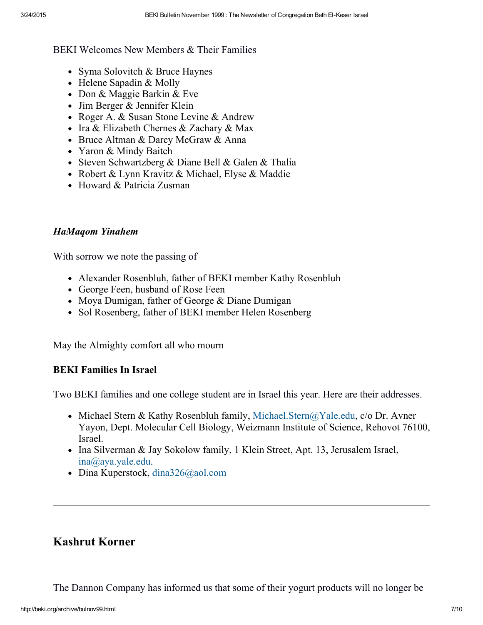BEKI Welcomes New Members & Their Families

- Syma Solovitch & Bruce Haynes
- Helene Sapadin & Molly
- Don & Maggie Barkin & Eve
- Jim Berger & Jennifer Klein
- Roger A. & Susan Stone Levine & Andrew
- Ira & Elizabeth Chernes & Zachary & Max
- Bruce Altman & Darcy McGraw & Anna
- Yaron & Mindy Baitch
- Steven Schwartzberg & Diane Bell & Galen & Thalia
- Robert & Lynn Kravitz & Michael, Elyse & Maddie
- Howard & Patricia Zusman

#### HaMaqom Yinahem

With sorrow we note the passing of

- Alexander Rosenbluh, father of BEKI member Kathy Rosenbluh
- George Feen, husband of Rose Feen
- Moya Dumigan, father of George & Diane Dumigan
- Sol Rosenberg, father of BEKI member Helen Rosenberg

May the Almighty comfort all who mourn

#### BEKI Families In Israel

Two BEKI families and one college student are in Israel this year. Here are their addresses.

- Michael Stern & Kathy Rosenbluh family, [Michael.Stern@Yale.edu,](mailto:Michael.Stern@Yale.edu) c/o Dr. Avner Yayon, Dept. Molecular Cell Biology, Weizmann Institute of Science, Rehovot 76100, Israel.
- Ina Silverman & Jay Sokolow family, 1 Klein Street, Apt. 13, Jerusalem Israel, [ina@aya.yale.edu.](mailto:ina@aya.yale.edu)
- $\bullet$  Dina Kuperstock, [dina326@aol.com](mailto:dina326@aol.com)

## Kashrut Korner

The Dannon Company has informed us that some of their yogurt products will no longer be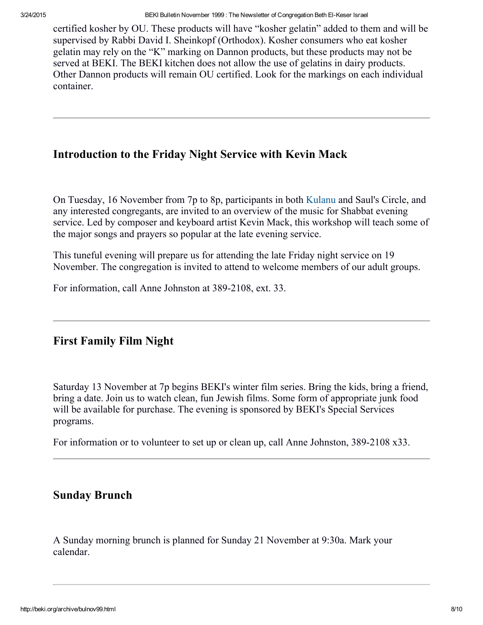certified kosher by OU. These products will have "kosher gelatin" added to them and will be supervised by Rabbi David I. Sheinkopf (Orthodox). Kosher consumers who eat kosher gelatin may rely on the "K" marking on Dannon products, but these products may not be served at BEKI. The BEKI kitchen does not allow the use of gelatins in dairy products. Other Dannon products will remain OU certified. Look for the markings on each individual container.

#### Introduction to the Friday Night Service with Kevin Mack

On Tuesday, 16 November from 7p to 8p, participants in both [Kulanu](http://beki.org/archive/kulanu.html) and Saul's Circle, and any interested congregants, are invited to an overview of the music for Shabbat evening service. Led by composer and keyboard artist Kevin Mack, this workshop will teach some of the major songs and prayers so popular at the late evening service.

This tuneful evening will prepare us for attending the late Friday night service on 19 November. The congregation is invited to attend to welcome members of our adult groups.

For information, call Anne Johnston at 389-2108, ext. 33.

#### First Family Film Night

Saturday 13 November at 7p begins BEKI's winter film series. Bring the kids, bring a friend, bring a date. Join us to watch clean, fun Jewish films. Some form of appropriate junk food will be available for purchase. The evening is sponsored by BEKI's Special Services programs.

For information or to volunteer to set up or clean up, call Anne Johnston, 389-2108 x33.

#### Sunday Brunch

A Sunday morning brunch is planned for Sunday 21 November at 9:30a. Mark your calendar.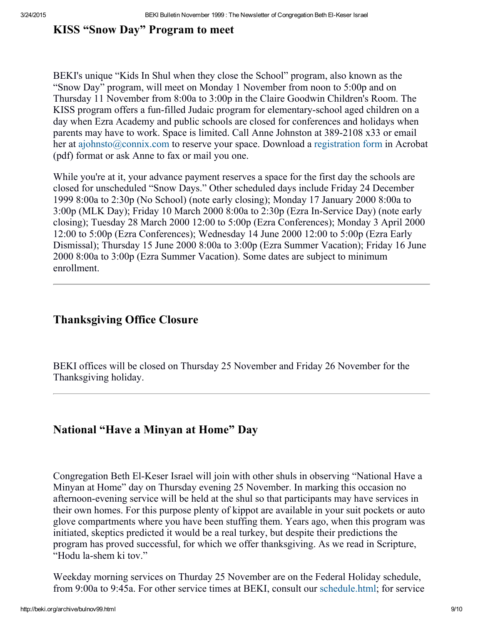#### KISS "Snow Day" Program to meet

BEKI's unique "Kids In Shul when they close the School" program, also known as the "Snow Day" program, will meet on Monday 1 November from noon to 5:00p and on Thursday 11 November from 8:00a to 3:00p in the Claire Goodwin Children's Room. The KISS program offers a fun-filled Judaic program for elementary-school aged children on a day when Ezra Academy and public schools are closed for conferences and holidays when parents may have to work. Space is limited. Call Anne Johnston at 389-2108 x33 or email her at [ajohnsto@connix.com](mailto:ajohnsto@connix.com) to reserve your space. Download a [registration](http://beki.org/archive/snow60.pdf) form in Acrobat (pdf) format or ask Anne to fax or mail you one.

While you're at it, your advance payment reserves a space for the first day the schools are closed for unscheduled "Snow Days." Other scheduled days include Friday 24 December 1999 8:00a to 2:30p (No School) (note early closing); Monday 17 January 2000 8:00a to  $3:00p$  (MLK Day); Friday 10 March 2000 8:00a to  $2:30p$  (Ezra In-Service Day) (note early closing); Tuesday 28 March 2000 12:00 to 5:00p (Ezra Conferences); Monday 3 April 2000 12:00 to 5:00p (Ezra Conferences); Wednesday 14 June 2000 12:00 to 5:00p (Ezra Early Dismissal); Thursday 15 June 2000 8:00a to 3:00p (Ezra Summer Vacation); Friday 16 June 2000 8:00a to 3:00p (Ezra Summer Vacation). Some dates are subject to minimum enrollment.

## Thanksgiving Office Closure

BEKI offices will be closed on Thursday 25 November and Friday 26 November for the Thanksgiving holiday.

#### National "Have a Minyan at Home" Day

Congregation Beth El-Keser Israel will join with other shuls in observing "National Have a Minyan at Home" day on Thursday evening 25 November. In marking this occasion no afternoon-evening service will be held at the shul so that participants may have services in their own homes. For this purpose plenty of kippot are available in your suit pockets or auto glove compartments where you have been stuffing them. Years ago, when this program was initiated, skeptics predicted it would be a real turkey, but despite their predictions the program has proved successful, for which we offer thanksgiving. As we read in Scripture, "Hodu la-shem ki tov."

Weekday morning services on Thurday 25 November are on the Federal Holiday schedule, from 9:00a to 9:45a. For other service times at BEKI, consult our [schedule.html](http://beki.org/archive/schedule.html); for service